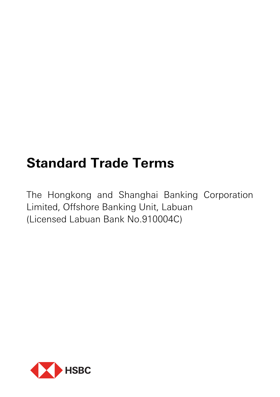# **Standard Trade Terms**

The Hongkong and Shanghai Banking Corporation Limited, Offshore Banking Unit, Labuan (Licensed Labuan Bank No.910004C)

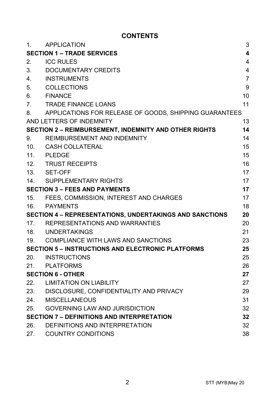# **CONTENTS**

| 1 <sub>1</sub>                       | APPLICATION                                                    | 3                       |
|--------------------------------------|----------------------------------------------------------------|-------------------------|
|                                      | <b>SECTION 1 – TRADE SERVICES</b>                              | $\overline{\mathbf{4}}$ |
| 2.                                   | <b>ICC RULES</b>                                               | $\overline{4}$          |
| 3.                                   | DOCUMENTARY CREDITS                                            | 4                       |
| 4.                                   | <b>INSTRUMENTS</b>                                             | $\overline{7}$          |
| 5.                                   | <b>COLLECTIONS</b>                                             | 9                       |
| 6.                                   | <b>FINANCE</b>                                                 | 10                      |
| 7.                                   | <b>TRADE FINANCE LOANS</b>                                     | 11                      |
| 8.                                   | APPLICATIONS FOR RELEASE OF GOODS, SHIPPING GUARANTEES         |                         |
|                                      | AND LETTERS OF INDEMNITY                                       | 13                      |
|                                      | <b>SECTION 2 - REIMBURSEMENT, INDEMNITY AND OTHER RIGHTS</b>   | 14                      |
| 9.                                   | REIMBURSEMENT AND INDEMNITY                                    | 14                      |
| 10.                                  | CASH COLLATERAL                                                | 15                      |
| 11.                                  | PLEDGE                                                         | 15                      |
|                                      | 12. TRUST RECEIPTS                                             | 16                      |
|                                      | 13. SET-OFF                                                    | 17                      |
| 14.                                  | SUPPLEMENTARY RIGHTS                                           | 17                      |
| <b>SECTION 3 – FEES AND PAYMENTS</b> |                                                                | 17                      |
| 15.                                  | FEES, COMMISSION, INTEREST AND CHARGES                         | 17                      |
|                                      | 16. PAYMENTS                                                   | 18                      |
|                                      | <b>SECTION 4 - REPRESENTATIONS, UNDERTAKINGS AND SANCTIONS</b> | 20                      |
|                                      | 17. REPRESENTATIONS AND WARRANTIES                             | 20                      |
|                                      | 18. UNDERTAKINGS                                               | 21                      |
|                                      | 19. COMPLIANCE WITH LAWS AND SANCTIONS                         | 23                      |
|                                      | <b>SECTION 5 - INSTRUCTIONS AND ELECTRONIC PLATFORMS</b>       | 25                      |
| 20.                                  | <b>INSTRUCTIONS</b>                                            | 25                      |
|                                      | 21. PLATFORMS                                                  | 26                      |
|                                      | <b>SECTION 6 - OTHER</b>                                       | 27                      |
|                                      | 22. LIMITATION ON LIABILITY                                    | 27                      |
|                                      | 23. DISCLOSURE, CONFIDENTIALITY AND PRIVACY                    | 29                      |
| 24.                                  | MISCELLANEOUS                                                  | 31                      |
| 25.                                  | <b>GOVERNING LAW AND JURISDICTION</b>                          | 32                      |
|                                      | <b>SECTION 7 - DEFINITIONS AND INTERPRETATION</b>              | 32                      |
| 26.                                  | DEFINITIONS AND INTERPRETATION                                 | 32                      |
| 27.                                  | <b>COUNTRY CONDITIONS</b>                                      | 38                      |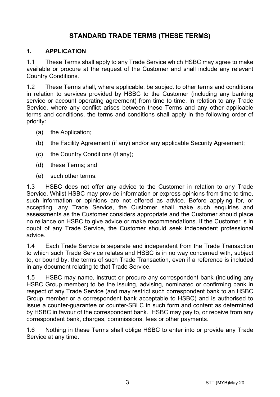# **STANDARD TRADE TERMS (THESE TERMS)**

#### **1. APPLICATION**

1.1 These Terms shall apply to any Trade Service which HSBC may agree to make available or procure at the request of the Customer and shall include any relevant Country Conditions.

1.2 These Terms shall, where applicable, be subject to other terms and conditions in relation to services provided by HSBC to the Customer (including any banking service or account operating agreement) from time to time. In relation to any Trade Service, where any conflict arises between these Terms and any other applicable terms and conditions, the terms and conditions shall apply in the following order of priority:

- (a) the Application;
- (b) the Facility Agreement (if any) and/or any applicable Security Agreement;
- (c) the Country Conditions (if any);
- (d) these Terms; and
- (e) such other terms.

1.3 HSBC does not offer any advice to the Customer in relation to any Trade Service. Whilst HSBC may provide information or express opinions from time to time, such information or opinions are not offered as advice. Before applying for, or accepting, any Trade Service, the Customer shall make such enquiries and assessments as the Customer considers appropriate and the Customer should place no reliance on HSBC to give advice or make recommendations. If the Customer is in doubt of any Trade Service, the Customer should seek independent professional advice.

1.4 Each Trade Service is separate and independent from the Trade Transaction to which such Trade Service relates and HSBC is in no way concerned with, subject to, or bound by, the terms of such Trade Transaction, even if a reference is included in any document relating to that Trade Service.

1.5 HSBC may name, instruct or procure any correspondent bank (including any HSBC Group member) to be the issuing, advising, nominated or confirming bank in respect of any Trade Service (and may restrict such correspondent bank to an HSBC Group member or a correspondent bank acceptable to HSBC) and is authorised to issue a counter-guarantee or counter-SBLC in such form and content as determined by HSBC in favour of the correspondent bank. HSBC may pay to, or receive from any correspondent bank, charges, commissions, fees or other payments.

1.6 Nothing in these Terms shall oblige HSBC to enter into or provide any Trade Service at any time.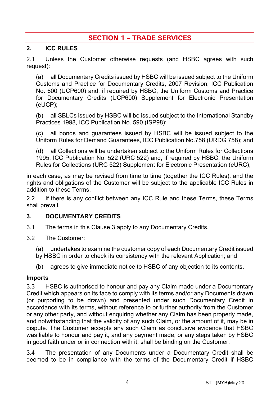# **SECTION 1 – TRADE SERVICES**

#### **2. ICC RULES**

2.1 Unless the Customer otherwise requests (and HSBC agrees with such request):

(a) all Documentary Credits issued by HSBC will be issued subject to the Uniform Customs and Practice for Documentary Credits, 2007 Revision, ICC Publication No. 600 (UCP600) and, if required by HSBC, the Uniform Customs and Practice for Documentary Credits (UCP600) Supplement for Electronic Presentation (eUCP);

(b) all SBLCs issued by HSBC will be issued subject to the International Standby Practices 1998, ICC Publication No. 590 (ISP98);

(c) all bonds and guarantees issued by HSBC will be issued subject to the Uniform Rules for Demand Guarantees, ICC Publication No.758 (URDG 758); and

(d) all Collections will be undertaken subject to the Uniform Rules for Collections 1995, ICC Publication No. 522 (URC 522) and, if required by HSBC, the Uniform Rules for Collections (URC 522) Supplement for Electronic Presentation (eURC),

in each case, as may be revised from time to time (together the ICC Rules), and the rights and obligations of the Customer will be subject to the applicable ICC Rules in addition to these Terms.

2.2 If there is any conflict between any ICC Rule and these Terms, these Terms shall prevail.

#### <span id="page-3-0"></span>**3. DOCUMENTARY CREDITS**

- 3.1 The terms in this Claus[e 3](#page-3-0) apply to any Documentary Credits.
- 3.2 The Customer:
	- (a) undertakes to examine the customer copy of each Documentary Credit issued
	- by HSBC in order to check its consistency with the relevant Application; and
	- (b) agrees to give immediate notice to HSBC of any objection to its contents.

#### **Imports**

3.3 HSBC is authorised to honour and pay any Claim made under a Documentary Credit which appears on its face to comply with its terms and/or any Documents drawn (or purporting to be drawn) and presented under such Documentary Credit in accordance with its terms, without reference to or further authority from the Customer or any other party, and without enquiring whether any Claim has been properly made, and notwithstanding that the validity of any such Claim, or the amount of it, may be in dispute. The Customer accepts any such Claim as conclusive evidence that HSBC was liable to honour and pay it, and any payment made, or any steps taken by HSBC in good faith under or in connection with it, shall be binding on the Customer.

3.4 The presentation of any Documents under a Documentary Credit shall be deemed to be in compliance with the terms of the Documentary Credit if HSBC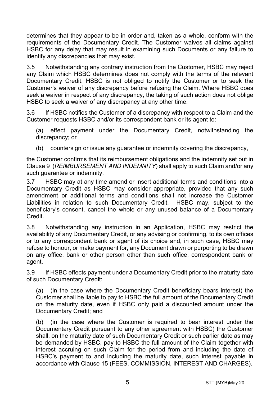determines that they appear to be in order and, taken as a whole, conform with the requirements of the Documentary Credit. The Customer waives all claims against HSBC for any delay that may result in examining such Documents or any failure to identify any discrepancies that may exist.

3.5 Notwithstanding any contrary instruction from the Customer, HSBC may reject any Claim which HSBC determines does not comply with the terms of the relevant Documentary Credit. HSBC is not obliged to notify the Customer or to seek the Customer's waiver of any discrepancy before refusing the Claim. Where HSBC does seek a waiver in respect of any discrepancy, the taking of such action does not oblige HSBC to seek a waiver of any discrepancy at any other time.

3.6 If HSBC notifies the Customer of a discrepancy with respect to a Claim and the Customer requests HSBC and/or its correspondent bank or its agent to:

(a) effect payment under the Documentary Credit, notwithstanding the discrepancy; or

(b) countersign or issue any guarantee or indemnity covering the discrepancy,

the Customer confirms that its reimbursement obligations and the indemnity set out in Claus[e 9](#page-13-0) (*[REIMBURSEMENT AND INDEMNITY](#page-13-0)*) shall apply to such Claim and/or any such guarantee or indemnity.

3.7 HSBC may at any time amend or insert additional terms and conditions into a Documentary Credit as HSBC may consider appropriate, provided that any such amendment or additional terms and conditions shall not increase the Customer Liabilities in relation to such Documentary Credit. HSBC may, subject to the beneficiary's consent, cancel the whole or any unused balance of a Documentary Credit.

3.8 Notwithstanding any instruction in an Application, HSBC may restrict the availability of any Documentary Credit, or any advising or confirming, to its own offices or to any correspondent bank or agent of its choice and, in such case, HSBC may refuse to honour, or make payment for, any Document drawn or purporting to be drawn on any office, bank or other person other than such office, correspondent bank or agent.

3.9 If HSBC effects payment under a Documentary Credit prior to the maturity date of such Documentary Credit:

(a) (in the case where the Documentary Credit beneficiary bears interest) the Customer shall be liable to pay to HSBC the full amount of the Documentary Credit on the maturity date, even if HSBC only paid a discounted amount under the Documentary Credit; and

(b) (in the case where the Customer is required to bear interest under the Documentary Credit pursuant to any other agreement with HSBC) the Customer shall, on the maturity date of such Documentary Credit or such earlier date as may be demanded by HSBC, pay to HSBC the full amount of the Claim together with interest accruing on such Claim for the period from and including the date of HSBC's payment to and including the maturity date, such interest payable in accordance with Clause [15](#page-16-0) [\(FEES, COMMISSION, INTEREST AND CHARGES\)](#page-16-0).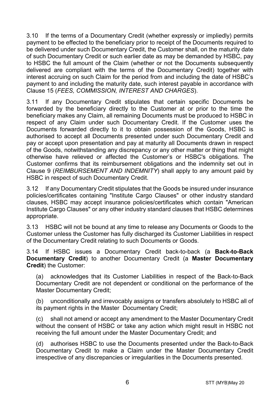3.10 If the terms of a Documentary Credit (whether expressly or impliedly) permits payment to be effected to the beneficiary prior to receipt of the Documents required to be delivered under such Documentary Credit, the Customer shall, on the maturity date of such Documentary Credit or such earlier date as may be demanded by HSBC, pay to HSBC the full amount of the Claim (whether or not the Documents subsequently delivered are compliant with the terms of the Documentary Credit) together with interest accruing on such Claim for the period from and including the date of HSBC's payment to and including the maturity date, such interest payable in accordance with Clause [15](#page-16-0) (*[FEES, COMMISSION, INTEREST AND CHARGES](#page-16-0)*).

3.11 If any Documentary Credit stipulates that certain specific Documents be forwarded by the beneficiary directly to the Customer at or prior to the time the beneficiary makes any Claim, all remaining Documents must be produced to HSBC in respect of any Claim under such Documentary Credit. If the Customer uses the Documents forwarded directly to it to obtain possession of the Goods, HSBC is authorised to accept all Documents presented under such Documentary Credit and pay or accept upon presentation and pay at maturity all Documents drawn in respect of the Goods, notwithstanding any discrepancy or any other matter or thing that might otherwise have relieved or affected the Customer's or HSBC's obligations. The Customer confirms that its reimbursement obligations and the indemnity set out in Clause [9](#page-13-0) (*[REIMBURSEMENT AND INDEMNITY](#page-13-0)*) shall apply to any amount paid by HSBC in respect of such Documentary Credit.

3.12 If any Documentary Credit stipulates that the Goods be insured under insurance policies/certificates containing "Institute Cargo Clauses" or other industry standard clauses, HSBC may accept insurance policies/certificates which contain "American Institute Cargo Clauses" or any other industry standard clauses that HSBC determines appropriate.

3.13 HSBC will not be bound at any time to release any Documents or Goods to the Customer unless the Customer has fully discharged its Customer Liabilities in respect of the Documentary Credit relating to such Documents or Goods.

<span id="page-5-0"></span>3.14 If HSBC issues a Documentary Credit back-to-back (a **Back-to-Back Documentary Credit**) to another Documentary Credit (a **Master Documentary Credit**) the Customer:

(a) acknowledges that its Customer Liabilities in respect of the Back-to-Back Documentary Credit are not dependent or conditional on the performance of the Master Documentary Credit;

(b) unconditionally and irrevocably assigns or transfers absolutely to HSBC all of its payment rights in the Master Documentary Credit;

(c) shall not amend or accept any amendment to the Master Documentary Credit without the consent of HSBC or take any action which might result in HSBC not receiving the full amount under the Master Documentary Credit; and

(d) authorises HSBC to use the Documents presented under the Back-to-Back Documentary Credit to make a Claim under the Master Documentary Credit irrespective of any discrepancies or irregularities in the Documents presented.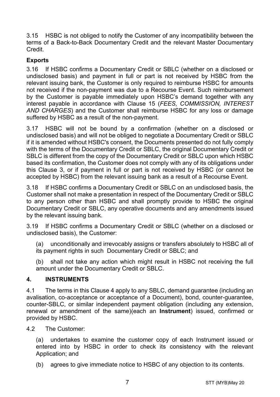3.15 HSBC is not obliged to notify the Customer of any incompatibility between the terms of a Back-to-Back Documentary Credit and the relevant Master Documentary Credit.

## **Exports**

3.16 If HSBC confirms a Documentary Credit or SBLC (whether on a disclosed or undisclosed basis) and payment in full or part is not received by HSBC from the relevant issuing bank, the Customer is only required to reimburse HSBC for amounts not received if the non-payment was due to a Recourse Event. Such reimbursement by the Customer is payable immediately upon HSBC's demand together with any interest payable in accordance with Clause [15](#page-16-0) (*[FEES, COMMISSION, INTEREST](#page-16-0)  [AND CHARGES](#page-16-0)*) and the Customer shall reimburse HSBC for any loss or damage suffered by HSBC as a result of the non-payment.

3.17 HSBC will not be bound by a confirmation (whether on a disclosed or undisclosed basis) and will not be obliged to negotiate a Documentary Credit or SBLC if it is amended without HSBC's consent, the Documents presented do not fully comply with the terms of the Documentary Credit or SBLC, the original Documentary Credit or SBLC is different from the copy of the Documentary Credit or SBLC upon which HSBC based its confirmation, the Customer does not comply with any of its obligations under this Clause [3,](#page-3-0) or if payment in full or part is not received by HSBC (or cannot be accepted by HSBC) from the relevant issuing bank as a result of a Recourse Event.

3.18 If HSBC confirms a Documentary Credit or SBLC on an undisclosed basis, the Customer shall not make a presentation in respect of the Documentary Credit or SBLC to any person other than HSBC and shall promptly provide to HSBC the original Documentary Credit or SBLC, any operative documents and any amendments issued by the relevant issuing bank.

3.19 If HSBC confirms a Documentary Credit or SBLC (whether on a disclosed or undisclosed basis), the Customer:

(a) unconditionally and irrevocably assigns or transfers absolutely to HSBC all of its payment rights in such Documentary Credit or SBLC; and

(b) shall not take any action which might result in HSBC not receiving the full amount under the Documentary Credit or SBLC.

#### <span id="page-6-0"></span>**4. INSTRUMENTS**

4.1 The terms in this Clause [4](#page-6-0) apply to any SBLC, demand guarantee (including an avalisation, co-acceptance or acceptance of a Document), bond, counter-guarantee, counter-SBLC, or similar independent payment obligation (including any extension, renewal or amendment of the same)(each an **Instrument**) issued, confirmed or provided by HSBC.

4.2 The Customer:

(a) undertakes to examine the customer copy of each Instrument issued or entered into by HSBC in order to check its consistency with the relevant Application; and

(b) agrees to give immediate notice to HSBC of any objection to its contents.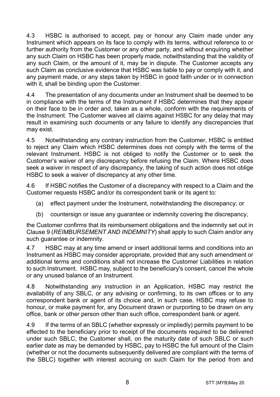4.3 HSBC is authorised to accept, pay or honour any Claim made under any Instrument which appears on its face to comply with its terms, without reference to or further authority from the Customer or any other party, and without enquiring whether any such Claim on HSBC has been properly made, notwithstanding that the validity of any such Claim, or the amount of it, may be in dispute. The Customer accepts any such Claim as conclusive evidence that HSBC was liable to pay or comply with it, and any payment made, or any steps taken by HSBC in good faith under or in connection with it, shall be binding upon the Customer.

4.4 The presentation of any documents under an Instrument shall be deemed to be in compliance with the terms of the Instrument if HSBC determines that they appear on their face to be in order and, taken as a whole, conform with the requirements of the Instrument. The Customer waives all claims against HSBC for any delay that may result in examining such documents or any failure to identify any discrepancies that may exist.

4.5 Notwithstanding any contrary instruction from the Customer, HSBC is entitled to reject any Claim which HSBC determines does not comply with the terms of the relevant Instrument. HSBC is not obliged to notify the Customer or to seek the Customer's waiver of any discrepancy before refusing the Claim. Where HSBC does seek a waiver in respect of any discrepancy, the taking of such action does not oblige HSBC to seek a waiver of discrepancy at any other time.

4.6 If HSBC notifies the Customer of a discrepancy with respect to a Claim and the Customer requests HSBC and/or its correspondent bank or its agent to:

- (a) effect payment under the Instrument, notwithstanding the discrepancy; or
- (b) countersign or issue any guarantee or indemnity covering the discrepancy,

the Customer confirms that its reimbursement obligations and the indemnity set out in Clause [9](#page-13-0) (*[REIMBURSEMENT AND INDEMNITY](#page-13-0)*) shall apply to such Claim and/or any such guarantee or indemnity.

4.7 HSBC may at any time amend or insert additional terms and conditions into an Instrument as HSBC may consider appropriate, provided that any such amendment or additional terms and conditions shall not increase the Customer Liabilities in relation to such Instrument. HSBC may, subject to the beneficiary's consent, cancel the whole or any unused balance of an Instrument.

4.8 Notwithstanding any instruction in an Application, HSBC may restrict the availability of any SBLC, or any advising or confirming, to its own offices or to any correspondent bank or agent of its choice and, in such case, HSBC may refuse to honour, or make payment for, any Document drawn or purporting to be drawn on any office, bank or other person other than such office, correspondent bank or agent.

4.9 If the terms of an SBLC (whether expressly or impliedly) permits payment to be effected to the beneficiary prior to receipt of the documents required to be delivered under such SBLC, the Customer shall, on the maturity date of such SBLC or such earlier date as may be demanded by HSBC, pay to HSBC the full amount of the Claim (whether or not the documents subsequently delivered are compliant with the terms of the SBLC) together with interest accruing on such Claim for the period from and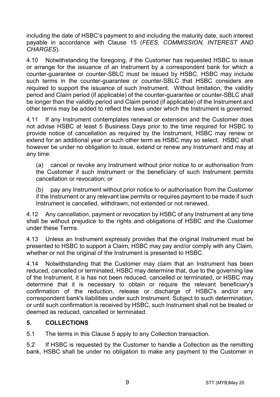including the date of HSBC's payment to and including the maturity date, such interest payable in accordance with Clause [15](#page-16-0) (*[FEES, COMMISSION, INTEREST AND](#page-16-0)  [CHARGES](#page-16-0)*).

4.10 Notwithstanding the foregoing, if the Customer has requested HSBC to issue or arrange for the issuance of an Instrument by a correspondent bank for which a counter-guarantee or counter-SBLC must be issued by HSBC, HSBC may include such terms in the counter-guarantee or counter-SBLC that HSBC considers are required to support the issuance of such Instrument. Without limitation, the validity period and Claim period (if applicable) of the counter-guarantee or counter-SBLC shall be longer than the validity period and Claim period (if applicable) of the Instrument and other terms may be added to reflect the laws under which the Instrument is governed.

4.11 If any Instrument contemplates renewal or extension and the Customer does not advise HSBC at least 5 Business Days prior to the time required for HSBC to provide notice of cancellation as required by the Instrument, HSBC may renew or extend for an additional year or such other term as HSBC may so select. HSBC shall however be under no obligation to issue, extend or renew any Instrument and may at any time:

(a) cancel or revoke any Instrument without prior notice to or authorisation from the Customer if such Instrument or the beneficiary of such Instrument permits cancellation or revocation; or

(b) pay any Instrument without prior notice to or authorisation from the Customer if the Instrument or any relevant law permits or requires payment to be made if such Instrument is cancelled, withdrawn, not extended or not renewed.

4.12 Any cancellation, payment or revocation by HSBC of any Instrument at any time shall be without prejudice to the rights and obligations of HSBC and the Customer under these Terms.

4.13 Unless an Instrument expressly provides that the original Instrument must be presented to HSBC to support a Claim, HSBC may pay and/or comply with any Claim, whether or not the original of the Instrument is presented to HSBC.

4.14 Notwithstanding that the Customer may claim that an Instrument has been reduced, cancelled or terminated, HSBC may determine that, due to the governing law of the Instrument, it is has not been reduced, cancelled or terminated, or HSBC may determine that it is necessary to obtain or require the relevant beneficiary's confirmation of the reduction, release or discharge of HSBC's and/or any correspondent bank's liabilities under such Instrument. Subject to such determination, or until such confirmation is received by HSBC, such Instrument shall not be treated or deemed as reduced, cancelled or terminated.

#### <span id="page-8-0"></span>**5. COLLECTIONS**

5.1 The terms in this Claus[e 5](#page-8-0) apply to any Collection transaction.

5.2 If HSBC is requested by the Customer to handle a Collection as the remitting bank, HSBC shall be under no obligation to make any payment to the Customer in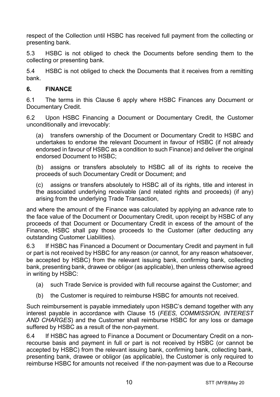respect of the Collection until HSBC has received full payment from the collecting or presenting bank.

5.3 HSBC is not obliged to check the Documents before sending them to the collecting or presenting bank.

5.4 HSBC is not obliged to check the Documents that it receives from a remitting bank.

#### <span id="page-9-0"></span>**6. FINANCE**

6.1 The terms in this Clause [6](#page-9-0) apply where HSBC Finances any Document or Documentary Credit.

6.2 Upon HSBC Financing a Document or Documentary Credit, the Customer unconditionally and irrevocably:

(a) transfers ownership of the Document or Documentary Credit to HSBC and undertakes to endorse the relevant Document in favour of HSBC (if not already endorsed in favour of HSBC as a condition to such Finance) and deliver the original endorsed Document to HSBC;

(b) assigns or transfers absolutely to HSBC all of its rights to receive the proceeds of such Documentary Credit or Document; and

(c) assigns or transfers absolutely to HSBC all of its rights, title and interest in the associated underlying receivable (and related rights and proceeds) (if any) arising from the underlying Trade Transaction,

and where the amount of the Finance was calculated by applying an advance rate to the face value of the Document or Documentary Credit, upon receipt by HSBC of any proceeds of that Document or Documentary Credit in excess of the amount of the Finance, HSBC shall pay those proceeds to the Customer (after deducting any outstanding Customer Liabilities).

6.3 If HSBC has Financed a Document or Documentary Credit and payment in full or part is not received by HSBC for any reason (or cannot, for any reason whatsoever, be accepted by HSBC) from the relevant issuing bank, confirming bank, collecting bank, presenting bank, drawee or obligor (as applicable), then unless otherwise agreed in writing by HSBC:

- (a) such Trade Service is provided with full recourse against the Customer; and
- (b) the Customer is required to reimburse HSBC for amounts not received.

Such reimbursement is payable immediately upon HSBC's demand together with any interest payable in accordance with Clause [15](#page-16-0) (*[FEES, COMMISSION, INTEREST](#page-16-0)  [AND CHARGES](#page-16-0)*) and the Customer shall reimburse HSBC for any loss or damage suffered by HSBC as a result of the non-payment.

6.4 If HSBC has agreed to Finance a Document or Documentary Credit on a nonrecourse basis and payment in full or part is not received by HSBC (or cannot be accepted by HSBC) from the relevant issuing bank, confirming bank, collecting bank, presenting bank, drawee or obligor (as applicable), the Customer is only required to reimburse HSBC for amounts not received if the non-payment was due to a Recourse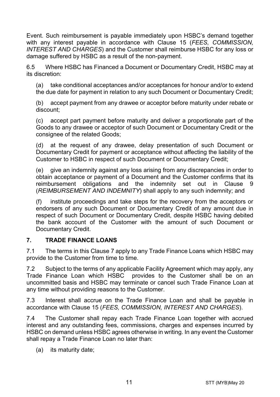Event. Such reimbursement is payable immediately upon HSBC's demand together with any interest payable in accordance with Clause [15](#page-16-0) (*[FEES, COMMISSION,](#page-16-0)  [INTEREST AND CHARGES](#page-16-0)*) and the Customer shall reimburse HSBC for any loss or damage suffered by HSBC as a result of the non-payment.

6.5 Where HSBC has Financed a Document or Documentary Credit, HSBC may at its discretion:

(a) take conditional acceptances and/or acceptances for honour and/or to extend the due date for payment in relation to any such Document or Documentary Credit;

(b) accept payment from any drawee or acceptor before maturity under rebate or discount;

(c) accept part payment before maturity and deliver a proportionate part of the Goods to any drawee or acceptor of such Document or Documentary Credit or the consignee of the related Goods;

(d) at the request of any drawee, delay presentation of such Document or Documentary Credit for payment or acceptance without affecting the liability of the Customer to HSBC in respect of such Document or Documentary Credit;

(e) give an indemnity against any loss arising from any discrepancies in order to obtain acceptance or payment of a Document and the Customer confirms that its reimbursement obligations and the indemnity set out in Clause [9](#page-13-0) (*[REIMBURSEMENT AND INDEMNITY](#page-13-0)*) shall apply to any such indemnity; and

(f) institute proceedings and take steps for the recovery from the acceptors or endorsers of any such Document or Documentary Credit of any amount due in respect of such Document or Documentary Credit, despite HSBC having debited the bank account of the Customer with the amount of such Document or Documentary Credit.

#### <span id="page-10-0"></span>**7. TRADE FINANCE LOANS**

7.1 The terms in this Clause [7](#page-10-0) apply to any Trade Finance Loans which HSBC may provide to the Customer from time to time.

7.2 Subject to the terms of any applicable Facility Agreement which may apply, any Trade Finance Loan which HSBC provides to the Customer shall be on an uncommitted basis and HSBC may terminate or cancel such Trade Finance Loan at any time without providing reasons to the Customer.

7.3 Interest shall accrue on the Trade Finance Loan and shall be payable in accordance with Clause [15](#page-16-0) (*[FEES, COMMISSION, INTEREST AND CHARGES](#page-16-0)*).

7.4 The Customer shall repay each Trade Finance Loan together with accrued interest and any outstanding fees, commissions, charges and expenses incurred by HSBC on demand unless HSBC agrees otherwise in writing. In any event the Customer shall repay a Trade Finance Loan no later than:

(a) its maturity date;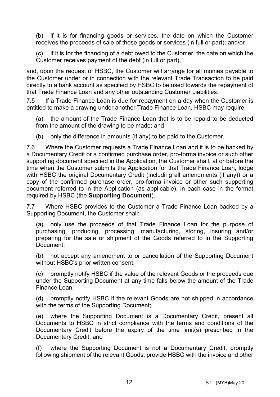(b) if it is for financing goods or services, the date on which the Customer receives the proceeds of sale of those goods or services (in full or part); and/or

(c) if it is for the financing of a debt owed to the Customer, the date on which the Customer receives payment of the debt (in full or part),

and, upon the request of HSBC, the Customer will arrange for all monies payable to the Customer under or in connection with the relevant Trade Transaction to be paid directly to a bank account as specified by HSBC to be used towards the repayment of that Trade Finance Loan and any other outstanding Customer Liabilities.

7.5 If a Trade Finance Loan is due for repayment on a day when the Customer is entitled to make a drawing under another Trade Finance Loan, HSBC may require:

(a) the amount of the Trade Finance Loan that is to be repaid to be deducted from the amount of the drawing to be made; and

(b) only the difference in amounts (if any) to be paid to the Customer.

7.6 Where the Customer requests a Trade Finance Loan and it is to be backed by a Documentary Credit or a confirmed purchase order, pro-forma invoice or such other supporting document specified in the Application, the Customer shall, at or before the time when the Customer submits the Application for that Trade Finance Loan, lodge with HSBC the original Documentary Credit (including all amendments (if any)) or a copy of the confirmed purchase order, pro-forma invoice or other such supporting document referred to in the Application (as applicable), in each case in the format required by HSBC (the **Supporting Document**).

7.7 Where HSBC provides to the Customer a Trade Finance Loan backed by a Supporting Document, the Customer shall:

(a) only use the proceeds of that Trade Finance Loan for the purpose of purchasing, producing, processing, manufacturing, storing, insuring and/or preparing for the sale or shipment of the Goods referred to in the Supporting Document;

(b) not accept any amendment to or cancellation of the Supporting Document without HSBC's prior written consent;

(c) promptly notify HSBC if the value of the relevant Goods or the proceeds due under the Supporting Document at any time falls below the amount of the Trade Finance Loan;

(d) promptly notify HSBC if the relevant Goods are not shipped in accordance with the terms of the Supporting Document;

(e) where the Supporting Document is a Documentary Credit, present all Documents to HSBC in strict compliance with the terms and conditions of the Documentary Credit before the expiry of the time limit(s) prescribed in the Documentary Credit; and

(f) where the Supporting Document is not a Documentary Credit, promptly following shipment of the relevant Goods, provide HSBC with the invoice and other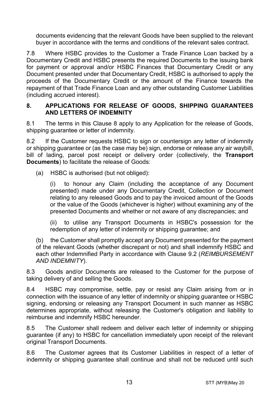documents evidencing that the relevant Goods have been supplied to the relevant buyer in accordance with the terms and conditions of the relevant sales contract.

7.8 Where HSBC provides to the Customer a Trade Finance Loan backed by a Documentary Credit and HSBC presents the required Documents to the issuing bank for payment or approval and/or HSBC Finances that Documentary Credit or any Document presented under that Documentary Credit, HSBC is authorised to apply the proceeds of the Documentary Credit or the amount of the Finance towards the repayment of that Trade Finance Loan and any other outstanding Customer Liabilities (including accrued interest).

#### <span id="page-12-0"></span>**8. APPLICATIONS FOR RELEASE OF GOODS, SHIPPING GUARANTEES AND LETTERS OF INDEMNITY**

8.1 The terms in this Clause [8](#page-12-0) apply to any Application for the release of Goods, shipping quarantee or letter of indemnity.

8.2 If the Customer requests HSBC to sign or countersign any letter of indemnity or shipping guarantee or (as the case may be) sign, endorse or release any air waybill, bill of lading, parcel post receipt or delivery order (collectively, the **Transport Documents**) to facilitate the release of Goods:

(a) HSBC is authorised (but not obliged):

(i) to honour any Claim (including the acceptance of any Document presented) made under any Documentary Credit, Collection or Document relating to any released Goods and to pay the invoiced amount of the Goods or the value of the Goods (whichever is higher) without examining any of the presented Documents and whether or not aware of any discrepancies; and

(ii) to utilise any Transport Documents in HSBC's possession for the redemption of any letter of indemnity or shipping guarantee; and

(b) the Customer shall promptly accept any Document presented for the payment of the relevant Goods (whether discrepant or not) and shall indemnify HSBC and each other Indemnified Party in accordance with Clause [9.2](#page-13-1) (*[REIMBURSEMENT](#page-13-0)  [AND INDEMNITY](#page-13-0)*).

8.3 Goods and/or Documents are released to the Customer for the purpose of taking delivery of and selling the Goods.

8.4 HSBC may compromise, settle, pay or resist any Claim arising from or in connection with the issuance of any letter of indemnity or shipping guarantee or HSBC signing, endorsing or releasing any Transport Document in such manner as HSBC determines appropriate, without releasing the Customer's obligation and liability to reimburse and indemnify HSBC hereunder.

8.5 The Customer shall redeem and deliver each letter of indemnity or shipping guarantee (if any) to HSBC for cancellation immediately upon receipt of the relevant original Transport Documents.

8.6 The Customer agrees that its Customer Liabilities in respect of a letter of indemnity or shipping guarantee shall continue and shall not be reduced until such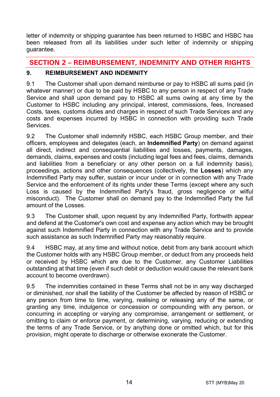letter of indemnity or shipping guarantee has been returned to HSBC and HSBC has been released from all its liabilities under such letter of indemnity or shipping guarantee.

# **SECTION 2 – REIMBURSEMENT, INDEMNITY AND OTHER RIGHTS**

## <span id="page-13-0"></span>**9. REIMBURSEMENT AND INDEMNITY**

9.1 The Customer shall upon demand reimburse or pay to HSBC all sums paid (in whatever manner) or due to be paid by HSBC to any person in respect of any Trade Service and shall upon demand pay to HSBC all sums owing at any time by the Customer to HSBC including any principal, interest, commissions, fees, Increased Costs, taxes, customs duties and charges in respect of such Trade Services and any costs and expenses incurred by HSBC in connection with providing such Trade **Services** 

<span id="page-13-1"></span>9.2 The Customer shall indemnify HSBC, each HSBC Group member, and their officers, employees and delegates (each, an **Indemnified Party**) on demand against all direct, indirect and consequential liabilities and losses, payments, damages, demands, claims, expenses and costs (including legal fees and fees, claims, demands and liabilities from a beneficiary or any other person on a full indemnity basis), proceedings, actions and other consequences (collectively, the **Losses**) which any Indemnified Party may suffer, sustain or incur under or in connection with any Trade Service and the enforcement of its rights under these Terms (except where any such Loss is caused by the Indemnified Party's fraud, gross negligence or wilful misconduct). The Customer shall on demand pay to the Indemnified Party the full amount of the Losses.

9.3 The Customer shall, upon request by any Indemnified Party, forthwith appear and defend at the Customer's own cost and expense any action which may be brought against such Indemnified Party in connection with any Trade Service and to provide such assistance as such Indemnified Party may reasonably require.

9.4 HSBC may, at any time and without notice, debit from any bank account which the Customer holds with any HSBC Group member, or deduct from any proceeds held or received by HSBC which are due to the Customer, any Customer Liabilities outstanding at that time (even if such debit or deduction would cause the relevant bank account to become overdrawn).

9.5 The indemnities contained in these Terms shall not be in any way discharged or diminished, nor shall the liability of the Customer be affected by reason of HSBC or any person from time to time, varying, realising or releasing any of the same, or granting any time, indulgence or concession or compounding with any person, or concurring in accepting or varying any compromise, arrangement or settlement, or omitting to claim or enforce payment, or determining, varying, reducing or extending the terms of any Trade Service, or by anything done or omitted which, but for this provision, might operate to discharge or otherwise exonerate the Customer.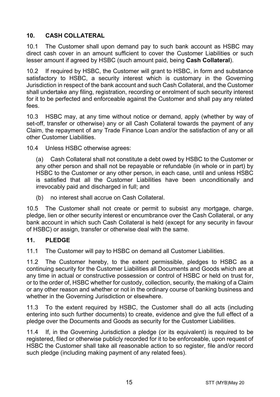# <span id="page-14-1"></span>**10. CASH COLLATERAL**

10.1 The Customer shall upon demand pay to such bank account as HSBC may direct cash cover in an amount sufficient to cover the Customer Liabilities or such lesser amount if agreed by HSBC (such amount paid, being **Cash Collateral**).

10.2 If required by HSBC, the Customer will grant to HSBC, in form and substance satisfactory to HSBC, a security interest which is customary in the Governing Jurisdiction in respect of the bank account and such Cash Collateral, and the Customer shall undertake any filing, registration, recording or enrolment of such security interest for it to be perfected and enforceable against the Customer and shall pay any related fees.

10.3 HSBC may, at any time without notice or demand, apply (whether by way of set-off, transfer or otherwise) any or all Cash Collateral towards the payment of any Claim, the repayment of any Trade Finance Loan and/or the satisfaction of any or all other Customer Liabilities.

10.4 Unless HSBC otherwise agrees:

(a) Cash Collateral shall not constitute a debt owed by HSBC to the Customer or any other person and shall not be repayable or refundable (in whole or in part) by HSBC to the Customer or any other person, in each case, until and unless HSBC is satisfied that all the Customer Liabilities have been unconditionally and irrevocably paid and discharged in full; and

(b) no interest shall accrue on Cash Collateral.

10.5 The Customer shall not create or permit to subsist any mortgage, charge, pledge, lien or other security interest or encumbrance over the Cash Collateral, or any bank account in which such Cash Collateral is held (except for any security in favour of HSBC) or assign, transfer or otherwise deal with the same.

#### <span id="page-14-0"></span>**11. PLEDGE**

11.1 The Customer will pay to HSBC on demand all Customer Liabilities.

11.2 The Customer hereby, to the extent permissible, pledges to HSBC as a continuing security for the Customer Liabilities all Documents and Goods which are at any time in actual or constructive possession or control of HSBC or held on trust for, or to the order of, HSBC whether for custody, collection, security, the making of a Claim or any other reason and whether or not in the ordinary course of banking business and whether in the Governing Jurisdiction or elsewhere.

11.3 To the extent required by HSBC, the Customer shall do all acts (including entering into such further documents) to create, evidence and give the full effect of a pledge over the Documents and Goods as security for the Customer Liabilities.

11.4 If, in the Governing Jurisdiction a pledge (or its equivalent) is required to be registered, filed or otherwise publicly recorded for it to be enforceable, upon request of HSBC the Customer shall take all reasonable action to so register, file and/or record such pledge (including making payment of any related fees).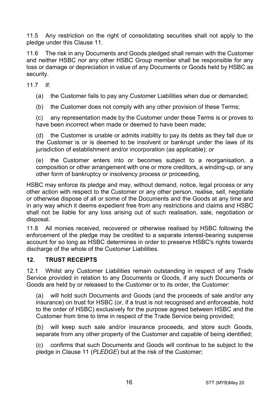11.5 Any restriction on the right of consolidating securities shall not apply to the pledge under this Clause [11.](#page-14-0)

11.6 The risk in any Documents and Goods pledged shall remain with the Customer and neither HSBC nor any other HSBC Group member shall be responsible for any loss or damage or depreciation in value of any Documents or Goods held by HSBC as security.

11.7 If:

(a) the Customer fails to pay any Customer Liabilities when due or demanded;

(b) the Customer does not comply with any other provision of these Terms;

(c) any representation made by the Customer under these Terms is or proves to have been incorrect when made or deemed to have been made;

(d) the Customer is unable or admits inability to pay its debts as they fall due or the Customer is or is deemed to be insolvent or bankrupt under the laws of its jurisdiction of establishment and/or incorporation (as applicable); or

(e) the Customer enters into or becomes subject to a reorganisation, a composition or other arrangement with one or more creditors, a winding-up, or any other form of bankruptcy or insolvency process or proceeding,

HSBC may enforce its pledge and may, without demand, notice, legal process or any other action with respect to the Customer or any other person, realise, sell, negotiate or otherwise dispose of all or some of the Documents and the Goods at any time and in any way which it deems expedient free from any restrictions and claims and HSBC shall not be liable for any loss arising out of such realisation, sale, negotiation or disposal.

11.8 All monies received, recovered or otherwise realised by HSBC following the enforcement of the pledge may be credited to a separate interest-bearing suspense account for so long as HSBC determines in order to preserve HSBC's rights towards discharge of the whole of the Customer Liabilities.

#### **12. TRUST RECEIPTS**

12.1 Whilst any Customer Liabilities remain outstanding in respect of any Trade Service provided in relation to any Documents or Goods, if any such Documents or Goods are held by or released to the Customer or to its order, the Customer:

(a) will hold such Documents and Goods (and the proceeds of sale and/or any insurance) on trust for HSBC (or, if a trust is not recognised and enforceable, hold to the order of HSBC) exclusively for the purpose agreed between HSBC and the Customer from time to time in respect of the Trade Service being provided;

(b) will keep such sale and/or insurance proceeds, and store such Goods, separate from any other property of the Customer and capable of being identified;

(c) confirms that such Documents and Goods will continue to be subject to the pledge in Claus[e 11](#page-14-0) (*[PLEDGE](#page-14-0)*) but at the risk of the Customer;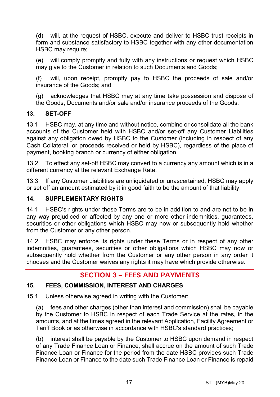(d) will, at the request of HSBC, execute and deliver to HSBC trust receipts in form and substance satisfactory to HSBC together with any other documentation HSBC may require:

(e) will comply promptly and fully with any instructions or request which HSBC may give to the Customer in relation to such Documents and Goods;

(f) will, upon receipt, promptly pay to HSBC the proceeds of sale and/or insurance of the Goods; and

(g) acknowledges that HSBC may at any time take possession and dispose of the Goods, Documents and/or sale and/or insurance proceeds of the Goods.

#### **13. SET-OFF**

13.1 HSBC may, at any time and without notice, combine or consolidate all the bank accounts of the Customer held with HSBC and/or set-off any Customer Liabilities against any obligation owed by HSBC to the Customer (including in respect of any Cash Collateral, or proceeds received or held by HSBC), regardless of the place of payment, booking branch or currency of either obligation.

13.2 To effect any set-off HSBC may convert to a currency any amount which is in a different currency at the relevant Exchange Rate.

13.3 If any Customer Liabilities are unliquidated or unascertained, HSBC may apply or set off an amount estimated by it in good faith to be the amount of that liability.

#### **14. SUPPLEMENTARY RIGHTS**

14.1 HSBC's rights under these Terms are to be in addition to and are not to be in any way prejudiced or affected by any one or more other indemnities, guarantees, securities or other obligations which HSBC may now or subsequently hold whether from the Customer or any other person.

14.2 HSBC may enforce its rights under these Terms or in respect of any other indemnities, guarantees, securities or other obligations which HSBC may now or subsequently hold whether from the Customer or any other person in any order it chooses and the Customer waives any rights it may have which provide otherwise.

# **SECTION 3 – FEES AND PAYMENTS**

#### <span id="page-16-0"></span>**15. FEES, COMMISSION, INTEREST AND CHARGES**

15.1 Unless otherwise agreed in writing with the Customer:

(a) fees and other charges (other than interest and commission) shall be payable by the Customer to HSBC in respect of each Trade Service at the rates, in the amounts, and at the times agreed in the relevant Application, Facility Agreement or Tariff Book or as otherwise in accordance with HSBC's standard practices;

(b) interest shall be payable by the Customer to HSBC upon demand in respect of any Trade Finance Loan or Finance, shall accrue on the amount of such Trade Finance Loan or Finance for the period from the date HSBC provides such Trade Finance Loan or Finance to the date such Trade Finance Loan or Finance is repaid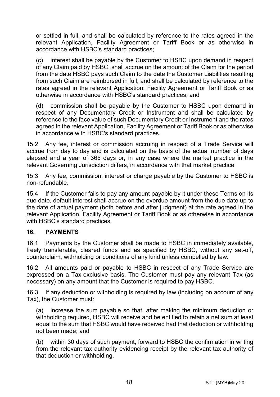or settled in full, and shall be calculated by reference to the rates agreed in the relevant Application, Facility Agreement or Tariff Book or as otherwise in accordance with HSBC's standard practices;

(c) interest shall be payable by the Customer to HSBC upon demand in respect of any Claim paid by HSBC, shall accrue on the amount of the Claim for the period from the date HSBC pays such Claim to the date the Customer Liabilities resulting from such Claim are reimbursed in full, and shall be calculated by reference to the rates agreed in the relevant Application, Facility Agreement or Tariff Book or as otherwise in accordance with HSBC's standard practices; and

(d) commission shall be payable by the Customer to HSBC upon demand in respect of any Documentary Credit or Instrument and shall be calculated by reference to the face value of such Documentary Credit or Instrument and the rates agreed in the relevant Application, Facility Agreement or Tariff Book or as otherwise in accordance with HSBC's standard practices.

15.2 Any fee, interest or commission accruing in respect of a Trade Service will accrue from day to day and is calculated on the basis of the actual number of days elapsed and a year of 365 days or, in any case where the market practice in the relevant Governing Jurisdiction differs, in accordance with that market practice.

15.3 Any fee, commission, interest or charge payable by the Customer to HSBC is non-refundable.

15.4 If the Customer fails to pay any amount payable by it under these Terms on its due date, default interest shall accrue on the overdue amount from the due date up to the date of actual payment (both before and after judgment) at the rate agreed in the relevant Application, Facility Agreement or Tariff Book or as otherwise in accordance with HSBC's standard practices.

#### **16. PAYMENTS**

16.1 Payments by the Customer shall be made to HSBC in immediately available, freely transferable, cleared funds and as specified by HSBC, without any set-off, counterclaim, withholding or conditions of any kind unless compelled by law.

16.2 All amounts paid or payable to HSBC in respect of any Trade Service are expressed on a Tax-exclusive basis. The Customer must pay any relevant Tax (as necessary) on any amount that the Customer is required to pay HSBC.

16.3 If any deduction or withholding is required by law (including on account of any Tax), the Customer must:

(a) increase the sum payable so that, after making the minimum deduction or withholding required, HSBC will receive and be entitled to retain a net sum at least equal to the sum that HSBC would have received had that deduction or withholding not been made; and

(b) within 30 days of such payment, forward to HSBC the confirmation in writing from the relevant tax authority evidencing receipt by the relevant tax authority of that deduction or withholding.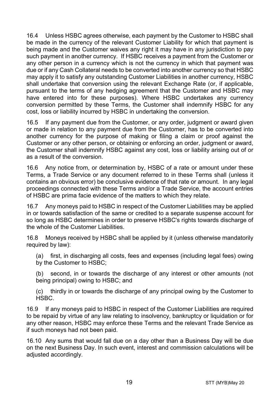16.4 Unless HSBC agrees otherwise, each payment by the Customer to HSBC shall be made in the currency of the relevant Customer Liability for which that payment is being made and the Customer waives any right it may have in any jurisdiction to pay such payment in another currency. If HSBC receives a payment from the Customer or any other person in a currency which is not the currency in which that payment was due or if any Cash Collateral needs to be converted into another currency so that HSBC may apply it to satisfy any outstanding Customer Liabilities in another currency, HSBC shall undertake that conversion using the relevant Exchange Rate (or, if applicable, pursuant to the terms of any hedging agreement that the Customer and HSBC may have entered into for these purposes). Where HSBC undertakes any currency conversion permitted by these Terms, the Customer shall indemnify HSBC for any cost, loss or liability incurred by HSBC in undertaking the conversion.

16.5 If any payment due from the Customer, or any order, judgment or award given or made in relation to any payment due from the Customer, has to be converted into another currency for the purpose of making or filing a claim or proof against the Customer or any other person, or obtaining or enforcing an order, judgment or award, the Customer shall indemnify HSBC against any cost, loss or liability arising out of or as a result of the conversion.

16.6 Any notice from, or determination by, HSBC of a rate or amount under these Terms, a Trade Service or any document referred to in these Terms shall (unless it contains an obvious error) be conclusive evidence of that rate or amount. In any legal proceedings connected with these Terms and/or a Trade Service, the account entries of HSBC are prima facie evidence of the matters to which they relate.

16.7 Any moneys paid to HSBC in respect of the Customer Liabilities may be applied in or towards satisfaction of the same or credited to a separate suspense account for so long as HSBC determines in order to preserve HSBC's rights towards discharge of the whole of the Customer Liabilities.

16.8 Moneys received by HSBC shall be applied by it (unless otherwise mandatorily required by law):

(a) first, in discharging all costs, fees and expenses (including legal fees) owing by the Customer to HSBC;

(b) second, in or towards the discharge of any interest or other amounts (not being principal) owing to HSBC; and

(c) thirdly in or towards the discharge of any principal owing by the Customer to HSBC.

16.9 If any moneys paid to HSBC in respect of the Customer Liabilities are required to be repaid by virtue of any law relating to insolvency, bankruptcy or liquidation or for any other reason, HSBC may enforce these Terms and the relevant Trade Service as if such moneys had not been paid.

16.10 Any sums that would fall due on a day other than a Business Day will be due on the next Business Day. In such event, interest and commission calculations will be adiusted accordingly.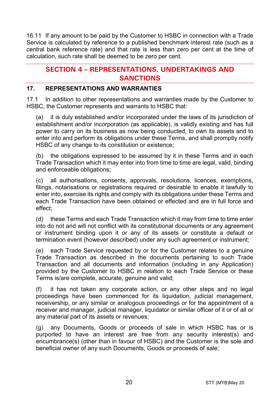16.11 If any amount to be paid by the Customer to HSBC in connection with a Trade Service is calculated by reference to a published benchmark interest rate (such as a central bank reference rate) and that rate is less than zero per cent at the time of calculation, such rate shall be deemed to be zero per cent.

# **SECTION 4 – REPRESENTATIONS, UNDERTAKINGS AND SANCTIONS**

#### **17. REPRESENTATIONS AND WARRANTIES**

17.1 In addition to other representations and warranties made by the Customer to HSBC, the Customer represents and warrants to HSBC that:

(a) it is duly established and/or incorporated under the laws of its jurisdiction of establishment and/or incorporation (as applicable), is validly existing and has full power to carry on its business as now being conducted, to own its assets and to enter into and perform its obligations under these Terms, and shall promptly notify HSBC of any change to its constitution or existence;

(b) the obligations expressed to be assumed by it in these Terms and in each Trade Transaction which it may enter into from time to time are legal, valid, binding and enforceable obligations;

(c) all authorisations, consents, approvals, resolutions, licences, exemptions, filings, notarisations or registrations required or desirable to enable it lawfully to enter into, exercise its rights and comply with its obligations under these Terms and each Trade Transaction have been obtained or effected and are in full force and effect;

(d) these Terms and each Trade Transaction which it may from time to time enter into do not and will not conflict with its constitutional documents or any agreement or instrument binding upon it or any of its assets or constitute a default or termination event (however described) under any such agreement or instrument;

(e) each Trade Service requested by or for the Customer relates to a genuine Trade Transaction as described in the documents pertaining to such Trade Transaction and all documents and information (including in any Application) provided by the Customer to HSBC in relation to each Trade Service or these Terms is/are complete, accurate, genuine and valid;

(f) it has not taken any corporate action, or any other steps and no legal proceedings have been commenced for its liquidation, judicial management, receivership, or any similar or analogous proceedings or for the appointment of a receiver and manager, judicial manager, liquidator or similar officer of it or of all or any material part of its assets or revenues;

(g) any Documents, Goods or proceeds of sale in which HSBC has or is purported to have an interest are free from any security interest(s) and encumbrance(s) (other than in favour of HSBC) and the Customer is the sole and beneficial owner of any such Documents, Goods or proceeds of sale;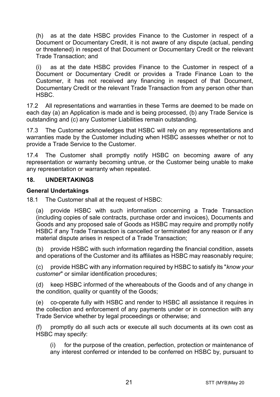(h) as at the date HSBC provides Finance to the Customer in respect of a Document or Documentary Credit, it is not aware of any dispute (actual, pending or threatened) in respect of that Document or Documentary Credit or the relevant Trade Transaction; and

(i) as at the date HSBC provides Finance to the Customer in respect of a Document or Documentary Credit or provides a Trade Finance Loan to the Customer, it has not received any financing in respect of that Document, Documentary Credit or the relevant Trade Transaction from any person other than HSBC.

17.2 All representations and warranties in these Terms are deemed to be made on each day (a) an Application is made and is being processed, (b) any Trade Service is outstanding and (c) any Customer Liabilities remain outstanding.

17.3 The Customer acknowledges that HSBC will rely on any representations and warranties made by the Customer including when HSBC assesses whether or not to provide a Trade Service to the Customer.

17.4 The Customer shall promptly notify HSBC on becoming aware of any representation or warranty becoming untrue, or the Customer being unable to make any representation or warranty when repeated.

#### **18. UNDERTAKINGS**

#### **General Undertakings**

18.1 The Customer shall at the request of HSBC:

(a) provide HSBC with such information concerning a Trade Transaction (including copies of sale contracts, purchase order and invoices), Documents and Goods and any proposed sale of Goods as HSBC may require and promptly notify HSBC if any Trade Transaction is cancelled or terminated for any reason or if any material dispute arises in respect of a Trade Transaction;

(b) provide HSBC with such information regarding the financial condition, assets and operations of the Customer and its affiliates as HSBC may reasonably require;

(c) provide HSBC with any information required by HSBC to satisfy its "*know your customer*" or similar identification procedures;

(d) keep HSBC informed of the whereabouts of the Goods and of any change in the condition, quality or quantity of the Goods;

(e) co-operate fully with HSBC and render to HSBC all assistance it requires in the collection and enforcement of any payments under or in connection with any Trade Service whether by legal proceedings or otherwise; and

(f) promptly do all such acts or execute all such documents at its own cost as HSBC may specify:

(i) for the purpose of the creation, perfection, protection or maintenance of any interest conferred or intended to be conferred on HSBC by, pursuant to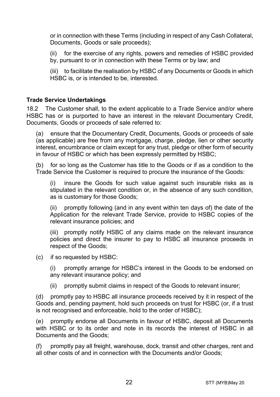or in connection with these Terms (including in respect of any Cash Collateral, Documents, Goods or sale proceeds);

(ii) for the exercise of any rights, powers and remedies of HSBC provided by, pursuant to or in connection with these Terms or by law; and

(iii) to facilitate the realisation by HSBC of any Documents or Goods in which HSBC is, or is intended to be, interested.

#### **Trade Service Undertakings**

18.2 The Customer shall, to the extent applicable to a Trade Service and/or where HSBC has or is purported to have an interest in the relevant Documentary Credit, Documents, Goods or proceeds of sale referred to:

(a) ensure that the Documentary Credit, Documents, Goods or proceeds of sale (as applicable) are free from any mortgage, charge, pledge, lien or other security interest, encumbrance or claim except for any trust, pledge or other form of security in favour of HSBC or which has been expressly permitted by HSBC;

(b) for so long as the Customer has title to the Goods or if as a condition to the Trade Service the Customer is required to procure the insurance of the Goods:

(i) insure the Goods for such value against such insurable risks as is stipulated in the relevant condition or, in the absence of any such condition, as is customary for those Goods;

(ii) promptly following (and in any event within ten days of) the date of the Application for the relevant Trade Service, provide to HSBC copies of the relevant insurance policies; and

(iii) promptly notify HSBC of any claims made on the relevant insurance policies and direct the insurer to pay to HSBC all insurance proceeds in respect of the Goods;

(c) if so requested by HSBC:

(i) promptly arrange for HSBC's interest in the Goods to be endorsed on any relevant insurance policy; and

(ii) promptly submit claims in respect of the Goods to relevant insurer;

(d) promptly pay to HSBC all insurance proceeds received by it in respect of the Goods and, pending payment, hold such proceeds on trust for HSBC (or, if a trust is not recognised and enforceable, hold to the order of HSBC);

(e) promptly endorse all Documents in favour of HSBC, deposit all Documents with HSBC or to its order and note in its records the interest of HSBC in all Documents and the Goods;

(f) promptly pay all freight, warehouse, dock, transit and other charges, rent and all other costs of and in connection with the Documents and/or Goods;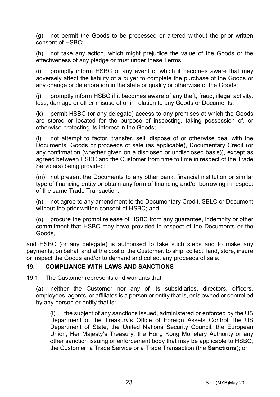(g) not permit the Goods to be processed or altered without the prior written consent of HSBC;

(h) not take any action, which might prejudice the value of the Goods or the effectiveness of any pledge or trust under these Terms;

(i) promptly inform HSBC of any event of which it becomes aware that may adversely affect the liability of a buyer to complete the purchase of the Goods or any change or deterioration in the state or quality or otherwise of the Goods;

(j) promptly inform HSBC if it becomes aware of any theft, fraud, illegal activity, loss, damage or other misuse of or in relation to any Goods or Documents;

(k) permit HSBC (or any delegate) access to any premises at which the Goods are stored or located for the purpose of inspecting, taking possession of, or otherwise protecting its interest in the Goods;

(l) not attempt to factor, transfer, sell, dispose of or otherwise deal with the Documents, Goods or proceeds of sale (as applicable), Documentary Credit (or any confirmation (whether given on a disclosed or undisclosed basis)), except as agreed between HSBC and the Customer from time to time in respect of the Trade Service(s) being provided;

(m) not present the Documents to any other bank, financial institution or similar type of financing entity or obtain any form of financing and/or borrowing in respect of the same Trade Transaction;

(n) not agree to any amendment to the Documentary Credit, SBLC or Document without the prior written consent of HSBC; and

(o) procure the prompt release of HSBC from any guarantee, indemnity or other commitment that HSBC may have provided in respect of the Documents or the Goods,

and HSBC (or any delegate) is authorised to take such steps and to make any payments, on behalf and at the cost of the Customer, to ship, collect, land, store, insure or inspect the Goods and/or to demand and collect any proceeds of sale.

#### <span id="page-22-0"></span>**19. COMPLIANCE WITH LAWS AND SANCTIONS**

19.1 The Customer represents and warrants that:

(a) neither the Customer nor any of its subsidiaries, directors, officers, employees, agents, or affiliates is a person or entity that is, or is owned or controlled by any person or entity that is:

(i) the subject of any sanctions issued, administered or enforced by the US Department of the Treasury's Office of Foreign Assets Control, the US Department of State, the United Nations Security Council, the European Union, Her Majesty's Treasury, the Hong Kong Monetary Authority or any other sanction issuing or enforcement body that may be applicable to HSBC, the Customer, a Trade Service or a Trade Transaction (the **Sanctions**); or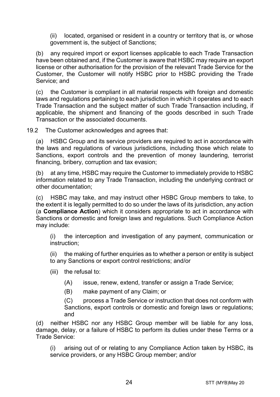(ii) located, organised or resident in a country or territory that is, or whose government is, the subject of Sanctions;

(b) any required import or export licenses applicable to each Trade Transaction have been obtained and, if the Customer is aware that HSBC may require an export license or other authorisation for the provision of the relevant Trade Service for the Customer, the Customer will notify HSBC prior to HSBC providing the Trade Service; and

(c) the Customer is compliant in all material respects with foreign and domestic laws and regulations pertaining to each jurisdiction in which it operates and to each Trade Transaction and the subject matter of such Trade Transaction including, if applicable, the shipment and financing of the goods described in such Trade Transaction or the associated documents.

19.2 The Customer acknowledges and agrees that:

(a) HSBC Group and its service providers are required to act in accordance with the laws and regulations of various jurisdictions, including those which relate to Sanctions, export controls and the prevention of money laundering, terrorist financing, bribery, corruption and tax evasion;

(b) at any time, HSBC may require the Customer to immediately provide to HSBC information related to any Trade Transaction, including the underlying contract or other documentation;

(c) HSBC may take, and may instruct other HSBC Group members to take, to the extent it is legally permitted to do so under the laws of its jurisdiction, any action (a **Compliance Action**) which it considers appropriate to act in accordance with Sanctions or domestic and foreign laws and regulations. Such Compliance Action may include:

(i) the interception and investigation of any payment, communication or instruction;

(ii) the making of further enquiries as to whether a person or entity is subject to any Sanctions or export control restrictions; and/or

- (iii) the refusal to:
	- (A) issue, renew, extend, transfer or assign a Trade Service;
	- (B) make payment of any Claim; or

(C) process a Trade Service or instruction that does not conform with Sanctions, export controls or domestic and foreign laws or regulations; and

(d) neither HSBC nor any HSBC Group member will be liable for any loss, damage, delay, or a failure of HSBC to perform its duties under these Terms or a Trade Service:

(i) arising out of or relating to any Compliance Action taken by HSBC, its service providers, or any HSBC Group member; and/or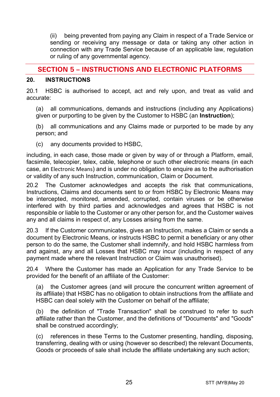(ii) being prevented from paying any Claim in respect of a Trade Service or sending or receiving any message or data or taking any other action in connection with any Trade Service because of an applicable law, regulation or ruling of any governmental agency.

# **SECTION 5 – INSTRUCTIONS AND ELECTRONIC PLATFORMS**

#### <span id="page-24-0"></span>**20. INSTRUCTIONS**

20.1 HSBC is authorised to accept, act and rely upon, and treat as valid and accurate:

(a) all communications, demands and instructions (including any Applications) given or purporting to be given by the Customer to HSBC (an **Instruction**);

(b) all communications and any Claims made or purported to be made by any person; and

(c) any documents provided to HSBC,

including, in each case, those made or given by way of or through a Platform, email, facsimile, telecopier, telex, cable, telephone or such other electronic means (in each case, an Electronic Means) and is under no obligation to enquire as to the authorisation or validity of any such Instruction, communication, Claim or Document.

20.2 The Customer acknowledges and accepts the risk that communications, Instructions, Claims and documents sent to or from HSBC by Electronic Means may be intercepted, monitored, amended, corrupted, contain viruses or be otherwise interfered with by third parties and acknowledges and agrees that HSBC is not responsible or liable to the Customer or any other person for, and the Customer waives any and all claims in respect of, any Losses arising from the same.

20.3 If the Customer communicates, gives an Instruction, makes a Claim or sends a document by Electronic Means, or instructs HSBC to permit a beneficiary or any other person to do the same, the Customer shall indemnify, and hold HSBC harmless from and against, any and all Losses that HSBC may incur (including in respect of any payment made where the relevant Instruction or Claim was unauthorised).

20.4 Where the Customer has made an Application for any Trade Service to be provided for the benefit of an affiliate of the Customer:

(a) the Customer agrees (and will procure the concurrent written agreement of its affiliate) that HSBC has no obligation to obtain instructions from the affiliate and HSBC can deal solely with the Customer on behalf of the affiliate;

(b) the definition of "Trade Transaction" shall be construed to refer to such affiliate rather than the Customer, and the definitions of "Documents" and "Goods" shall be construed accordingly;

(c) references in these Terms to the Customer presenting, handling, disposing, transferring, dealing with or using (however so described) the relevant Documents, Goods or proceeds of sale shall include the affiliate undertaking any such action;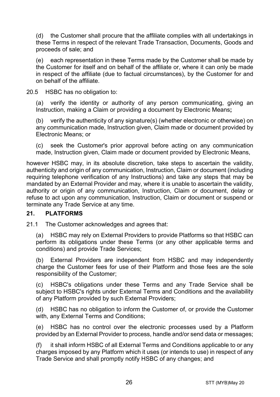(d) the Customer shall procure that the affiliate complies with all undertakings in these Terms in respect of the relevant Trade Transaction, Documents, Goods and proceeds of sale; and

(e) each representation in these Terms made by the Customer shall be made by the Customer for itself and on behalf of the affiliate or, where it can only be made in respect of the affiliate (due to factual circumstances), by the Customer for and on behalf of the affiliate.

20.5 HSBC has no obligation to:

(a) verify the identity or authority of any person communicating, giving an Instruction, making a Claim or providing a document by Electronic Means**;**

(b) verify the authenticity of any signature(s) (whether electronic or otherwise) on any communication made, Instruction given, Claim made or document provided by Electronic Means; or

(c) seek the Customer's prior approval before acting on any communication made, Instruction given, Claim made or document provided by Electronic Means,

however HSBC may, in its absolute discretion, take steps to ascertain the validity, authenticity and origin of any communication, Instruction, Claim or document (including requiring telephone verification of any Instructions) and take any steps that may be mandated by an External Provider and may, where it is unable to ascertain the validity, authority or origin of any communication, Instruction, Claim or document, delay or refuse to act upon any communication, Instruction, Claim or document or suspend or terminate any Trade Service at any time.

#### **21. PLATFORMS**

21.1 The Customer acknowledges and agrees that:

(a) HSBC may rely on External Providers to provide Platforms so that HSBC can perform its obligations under these Terms (or any other applicable terms and conditions) and provide Trade Services;

(b) External Providers are independent from HSBC and may independently charge the Customer fees for use of their Platform and those fees are the sole responsibility of the Customer;

(c) HSBC's obligations under these Terms and any Trade Service shall be subject to HSBC's rights under External Terms and Conditions and the availability of any Platform provided by such External Providers;

(d) HSBC has no obligation to inform the Customer of, or provide the Customer with, any External Terms and Conditions;

(e) HSBC has no control over the electronic processes used by a Platform provided by an External Provider to process, handle and/or send data or messages;

(f) it shall inform HSBC of all External Terms and Conditions applicable to or any charges imposed by any Platform which it uses (or intends to use) in respect of any Trade Service and shall promptly notify HSBC of any changes; and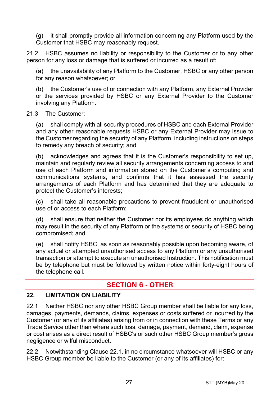(g) it shall promptly provide all information concerning any Platform used by the Customer that HSBC may reasonably request.

21.2 HSBC assumes no liability or responsibility to the Customer or to any other person for any loss or damage that is suffered or incurred as a result of:

the unavailability of any Platform to the Customer, HSBC or any other person for any reason whatsoever; or

(b) the Customer's use of or connection with any Platform, any External Provider or the services provided by HSBC or any External Provider to the Customer involving any Platform.

#### 21.3 The Customer:

(a) shall comply with all security procedures of HSBC and each External Provider and any other reasonable requests HSBC or any External Provider may issue to the Customer regarding the security of any Platform, including instructions on steps to remedy any breach of security; and

(b) acknowledges and agrees that it is the Customer's responsibility to set up, maintain and regularly review all security arrangements concerning access to and use of each Platform and information stored on the Customer's computing and communications systems, and confirms that it has assessed the security arrangements of each Platform and has determined that they are adequate to protect the Customer's interests;

(c) shall take all reasonable precautions to prevent fraudulent or unauthorised use of or access to each Platform;

(d) shall ensure that neither the Customer nor its employees do anything which may result in the security of any Platform or the systems or security of HSBC being compromised; and

(e) shall notify HSBC, as soon as reasonably possible upon becoming aware, of any actual or attempted unauthorised access to any Platform or any unauthorised transaction or attempt to execute an unauthorised Instruction. This notification must be by telephone but must be followed by written notice within forty-eight hours of the telephone call.

# **SECTION 6 - OTHER**

#### **22. LIMITATION ON LIABILITY**

<span id="page-26-0"></span>22.1 Neither HSBC nor any other HSBC Group member shall be liable for any loss, damages, payments, demands, claims, expenses or costs suffered or incurred by the Customer (or any of its affiliates) arising from or in connection with these Terms or any Trade Service other than where such loss, damage, payment, demand, claim, expense or cost arises as a direct result of HSBC's or such other HSBC Group member's gross negligence or wilful misconduct.

<span id="page-26-1"></span>22.2 Notwithstanding Clause [22.1,](#page-26-0) in no circumstance whatsoever will HSBC or any HSBC Group member be liable to the Customer (or any of its affiliates) for: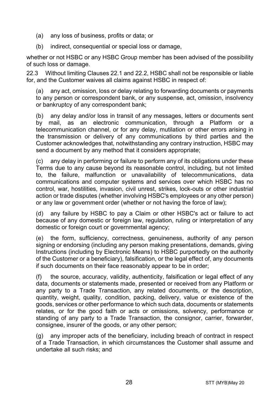- (a) any loss of business, profits or data; or
- (b) indirect, consequential or special loss or damage,

whether or not HSBC or any HSBC Group member has been advised of the possibility of such loss or damage.

22.3 Without limiting Clauses [22.1](#page-26-0) and [22.2,](#page-26-1) HSBC shall not be responsible or liable for, and the Customer waives all claims against HSBC in respect of:

(a) any act, omission, loss or delay relating to forwarding documents or payments to any person or correspondent bank, or any suspense, act, omission, insolvency or bankruptcy of any correspondent bank;

(b) any delay and/or loss in transit of any messages, letters or documents sent by mail, as an electronic communication, through a Platform or a telecommunication channel, or for any delay, mutilation or other errors arising in the transmission or delivery of any communications by third parties and the Customer acknowledges that, notwithstanding any contrary instruction, HSBC may send a document by any method that it considers appropriate;

(c) any delay in performing or failure to perform any of its obligations under these Terms due to any cause beyond its reasonable control, including, but not limited to, the failure, malfunction or unavailability of telecommunications, data communications and computer systems and services over which HSBC has no control, war, hostilities, invasion, civil unrest, strikes, lock-outs or other industrial action or trade disputes (whether involving HSBC's employees or any other person) or any law or government order (whether or not having the force of law);

(d) any failure by HSBC to pay a Claim or other HSBC's act or failure to act because of any domestic or foreign law, regulation, ruling or interpretation of any domestic or foreign court or governmental agency;

(e) the form, sufficiency, correctness, genuineness, authority of any person signing or endorsing (including any person making presentations, demands, giving Instructions (including by Electronic Means) to HSBC purportedly on the authority of the Customer or a beneficiary), falsification, or the legal effect of, any documents if such documents on their face reasonably appear to be in order;

(f) the source, accuracy, validity, authenticity, falsification or legal effect of any data, documents or statements made, presented or received from any Platform or any party to a Trade Transaction, any related documents, or the description, quantity, weight, quality, condition, packing, delivery, value or existence of the goods, services or other performance to which such data, documents or statements relates, or for the good faith or acts or omissions, solvency, performance or standing of any party to a Trade Transaction, the consignor, carrier, forwarder, consignee, insurer of the goods, or any other person;

(g) any improper acts of the beneficiary, including breach of contract in respect of a Trade Transaction, in which circumstances the Customer shall assume and undertake all such risks; and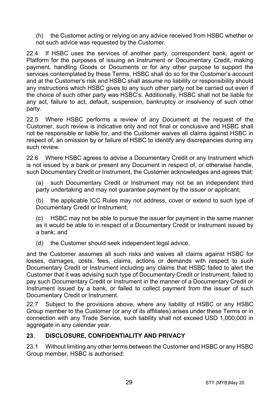(h) the Customer acting or relying on any advice received from HSBC whether or not such advice was requested by the Customer.

22.4 If HSBC uses the services of another party, correspondent bank, agent or Platform for the purposes of issuing an Instrument or Documentary Credit, making payment, handling Goods or Documents or for any other purpose to support the services contemplated by these Terms, HSBC shall do so for the Customer's account and at the Customer's risk and HSBC shall assume no liability or responsibility should any instructions which HSBC gives to any such other party not be carried out even if the choice of such other party was HSBC's. Additionally, HSBC shall not be liable for any act, failure to act, default, suspension, bankruptcy or insolvency of such other party.

22.5 Where HSBC performs a review of any Document at the request of the Customer, such review is indicative only and not final or conclusive and HSBC shall not be responsible or liable for, and the Customer waives all claims against HSBC in respect of, an omission by or failure of HSBC to identify any discrepancies during any such review.

22.6 Where HSBC agrees to advise a Documentary Credit or any Instrument which is not issued by a bank or present any Document in respect of, or otherwise handle, such Documentary Credit or Instrument, the Customer acknowledges and agrees that:

(a) such Documentary Credit or Instrument may not be an independent third party undertaking and may not quarantee payment by the issuer or applicant;

(b) the applicable ICC Rules may not address, cover or extend to such type of Documentary Credit or Instrument;

(c) HSBC may not be able to pursue the issuer for payment in the same manner as it would be able to in respect of a Documentary Credit or Instrument issued by a bank; and

(d) the Customer should seek independent legal advice,

and the Customer assumes all such risks and waives all claims against HSBC for losses, damages, costs, fees, claims, actions or demands with respect to such Documentary Credit or Instrument including any claims that HSBC failed to alert the Customer that it was advising such type of Documentary Credit or Instrument, failed to pay such Documentary Credit or Instrument in the manner of a Documentary Credit or Instrument issued by a bank, or failed to collect payment from the issuer of such Documentary Credit or Instrument.

22.7 Subject to the provisions above, where any liability of HSBC or any HSBC Group member to the Customer (or any of its affiliates) arises under these Terms or in connection with any Trade Service, such liability shall not exceed USD 1,000,000 in aggregate in any calendar year.

#### <span id="page-28-0"></span>**23. DISCLOSURE, CONFIDENTIALITY AND PRIVACY**

23.1 Without limiting any other terms between the Customer and HSBC or any HSBC Group member, HSBC is authorised: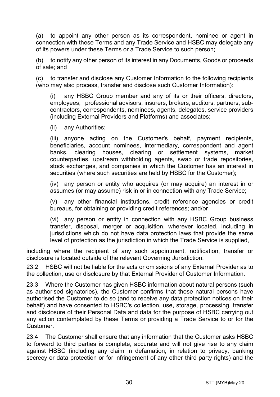<span id="page-29-0"></span>(a) to appoint any other person as its correspondent, nominee or agent in connection with these Terms and any Trade Service and HSBC may delegate any of its powers under these Terms or a Trade Service to such person;

(b) to notify any other person of its interest in any Documents, Goods or proceeds of sale; and

(c) to transfer and disclose any Customer Information to the following recipients (who may also process, transfer and disclose such Customer Information):

(i) any HSBC Group member and any of its or their officers, directors, employees, professional advisors, insurers, brokers, auditors, partners, subcontractors, correspondents, nominees, agents, delegates, service providers (including External Providers and Platforms) and associates;

(ii) any Authorities;

(iii) anyone acting on the Customer's behalf, payment recipients, beneficiaries, account nominees, intermediary, correspondent and agent banks, clearing houses, clearing or settlement systems, market counterparties, upstream withholding agents, swap or trade repositories, stock exchanges, and companies in which the Customer has an interest in securities (where such securities are held by HSBC for the Customer);

(iv) any person or entity who acquires (or may acquire) an interest in or assumes (or may assume) risk in or in connection with any Trade Service;

(v) any other financial institutions, credit reference agencies or credit bureaus, for obtaining or providing credit references; and/or

(vi) any person or entity in connection with any HSBC Group business transfer, disposal, merger or acquisition, wherever located, including in jurisdictions which do not have data protection laws that provide the same level of protection as the jurisdiction in which the Trade Service is supplied,

including where the recipient of any such appointment, notification, transfer or disclosure is located outside of the relevant Governing Jurisdiction.

23.2 HSBC will not be liable for the acts or omissions of any External Provider as to the collection, use or disclosure by that External Provider of Customer Information.

23.3 Where the Customer has given HSBC information about natural persons (such as authorised signatories), the Customer confirms that those natural persons have authorised the Customer to do so (and to receive any data protection notices on their behalf) and have consented to HSBC's collection, use, storage, processing, transfer and disclosure of their Personal Data and data for the purpose of HSBC carrying out any action contemplated by these Terms or providing a Trade Service to or for the Customer.

23.4 The Customer shall ensure that any information that the Customer asks HSBC to forward to third parties is complete, accurate and will not give rise to any claim against HSBC (including any claim in defamation, in relation to privacy, banking secrecy or data protection or for infringement of any other third party rights) and the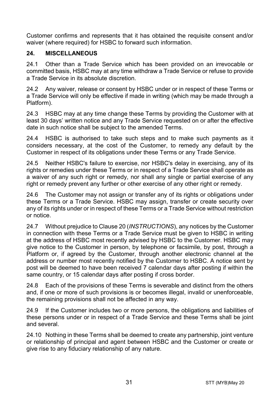Customer confirms and represents that it has obtained the requisite consent and/or waiver (where required) for HSBC to forward such information.

#### **24. MISCELLANEOUS**

24.1 Other than a Trade Service which has been provided on an irrevocable or committed basis, HSBC may at any time withdraw a Trade Service or refuse to provide a Trade Service in its absolute discretion.

24.2 Any waiver, release or consent by HSBC under or in respect of these Terms or a Trade Service will only be effective if made in writing (which may be made through a Platform).

24.3 HSBC may at any time change these Terms by providing the Customer with at least 30 days' written notice and any Trade Service requested on or after the effective date in such notice shall be subject to the amended Terms.

24.4 HSBC is authorised to take such steps and to make such payments as it considers necessary, at the cost of the Customer, to remedy any default by the Customer in respect of its obligations under these Terms or any Trade Service.

24.5 Neither HSBC's failure to exercise, nor HSBC's delay in exercising, any of its rights or remedies under these Terms or in respect of a Trade Service shall operate as a waiver of any such right or remedy, nor shall any single or partial exercise of any right or remedy prevent any further or other exercise of any other right or remedy.

24.6 The Customer may not assign or transfer any of its rights or obligations under these Terms or a Trade Service. HSBC may assign, transfer or create security over any of its rights under or in respect of these Terms or a Trade Service without restriction or notice.

24.7 Without prejudice to Claus[e 20](#page-24-0) (*[INSTRUCTIONS](#page-24-0)*), any notices by the Customer in connection with these Terms or a Trade Service must be given to HSBC in writing at the address of HSBC most recently advised by HSBC to the Customer. HSBC may give notice to the Customer in person, by telephone or facsimile, by post, through a Platform or, if agreed by the Customer, through another electronic channel at the address or number most recently notified by the Customer to HSBC. A notice sent by post will be deemed to have been received 7 calendar days after posting if within the same country, or 15 calendar days after posting if cross border.

24.8 Each of the provisions of these Terms is severable and distinct from the others and, if one or more of such provisions is or becomes illegal, invalid or unenforceable, the remaining provisions shall not be affected in any way.

24.9 If the Customer includes two or more persons, the obligations and liabilities of these persons under or in respect of a Trade Service and these Terms shall be joint and several.

24.10 Nothing in these Terms shall be deemed to create any partnership, joint venture or relationship of principal and agent between HSBC and the Customer or create or give rise to any fiduciary relationship of any nature.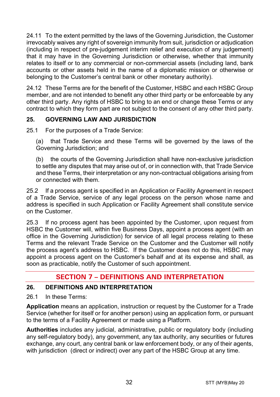24.11 To the extent permitted by the laws of the Governing Jurisdiction, the Customer irrevocably waives any right of sovereign immunity from suit, jurisdiction or adjudication (including in respect of pre-judgement interim relief and execution of any judgement) that it may have in the Governing Jurisdiction or otherwise, whether that immunity relates to itself or to any commercial or non-commercial assets (including land, bank accounts or other assets held in the name of a diplomatic mission or otherwise or belonging to the Customer's central bank or other monetary authority).

24.12 These Terms are for the benefit of the Customer, HSBC and each HSBC Group member, and are not intended to benefit any other third party or be enforceable by any other third party. Any rights of HSBC to bring to an end or change these Terms or any contract to which they form part are not subject to the consent of any other third party.

## **25. GOVERNING LAW AND JURISDICTION**

25.1 For the purposes of a Trade Service:

(a) that Trade Service and these Terms will be governed by the laws of the Governing Jurisdiction; and

(b) the courts of the Governing Jurisdiction shall have non-exclusive jurisdiction to settle any disputes that may arise out of, or in connection with, that Trade Service and these Terms, their interpretation or any non-contractual obligations arising from or connected with them.

25.2 If a process agent is specified in an Application or Facility Agreement in respect of a Trade Service, service of any legal process on the person whose name and address is specified in such Application or Facility Agreement shall constitute service on the Customer.

25.3 If no process agent has been appointed by the Customer, upon request from HSBC the Customer will, within five Business Days, appoint a process agent (with an office in the Governing Jurisdiction) for service of all legal process relating to these Terms and the relevant Trade Service on the Customer and the Customer will notify the process agent's address to HSBC. If the Customer does not do this, HSBC may appoint a process agent on the Customer's behalf and at its expense and shall, as soon as practicable, notify the Customer of such appointment.

# **SECTION 7 – DEFINITIONS AND INTERPRETATION**

#### **26. DEFINITIONS AND INTERPRETATION**

26.1 In these Terms:

**Application** means an application, instruction or request by the Customer for a Trade Service (whether for itself or for another person) using an application form, or pursuant to the terms of a Facility Agreement or made using a Platform.

**Authorities** includes any judicial, administrative, public or regulatory body (including any self-regulatory body), any government, any tax authority, any securities or futures exchange, any court, any central bank or law enforcement body, or any of their agents, with jurisdiction (direct or indirect) over any part of the HSBC Group at any time.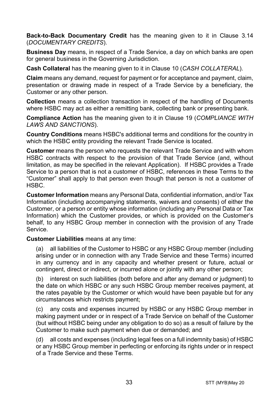**Back-to-Back Documentary Credit** has the meaning given to it in Clause [3.14](#page-5-0) (*[DOCUMENTARY CREDITS](#page-3-0)*).

**Business Day** means, in respect of a Trade Service, a day on which banks are open for general business in the Governing Jurisdiction.

**Cash Collateral** has the meaning given to it in Clause [10](#page-14-1) (*[CASH COLLATERAL](#page-14-1)*).

**Claim** means any demand, request for payment or for acceptance and payment, claim, presentation or drawing made in respect of a Trade Service by a beneficiary, the Customer or any other person.

**Collection** means a collection transaction in respect of the handling of Documents where HSBC may act as either a remitting bank, collecting bank or presenting bank.

**Compliance Action** has the meaning given to it in Clause [19](#page-22-0) (*[COMPLIANCE WITH](#page-22-0)  [LAWS AND SANCTIONS](#page-22-0)*).

**Country Conditions** means HSBC's additional terms and conditions for the country in which the HSBC entity providing the relevant Trade Service is located.

**Customer** means the person who requests the relevant Trade Service and with whom HSBC contracts with respect to the provision of that Trade Service (and, without limitation, as may be specified in the relevant Application). If HSBC provides a Trade Service to a person that is not a customer of HSBC, references in these Terms to the "Customer" shall apply to that person even though that person is not a customer of HSBC.

**Customer Information** means any Personal Data, confidential information, and/or Tax Information (including accompanying statements, waivers and consents) of either the Customer, or a person or entity whose information (including any Personal Data or Tax Information) which the Customer provides, or which is provided on the Customer's behalf, to any HSBC Group member in connection with the provision of any Trade Service.

**Customer Liabilities** means at any time:

(a) all liabilities of the Customer to HSBC or any HSBC Group member (including arising under or in connection with any Trade Service and these Terms) incurred in any currency and in any capacity and whether present or future, actual or contingent, direct or indirect, or incurred alone or jointly with any other person;

(b) interest on such liabilities (both before and after any demand or judgment) to the date on which HSBC or any such HSBC Group member receives payment, at the rates payable by the Customer or which would have been payable but for any circumstances which restricts payment;

(c) any costs and expenses incurred by HSBC or any HSBC Group member in making payment under or in respect of a Trade Service on behalf of the Customer (but without HSBC being under any obligation to do so) as a result of failure by the Customer to make such payment when due or demanded; and

(d) all costs and expenses (including legal fees on a full indemnity basis) of HSBC or any HSBC Group member in perfecting or enforcing its rights under or in respect of a Trade Service and these Terms.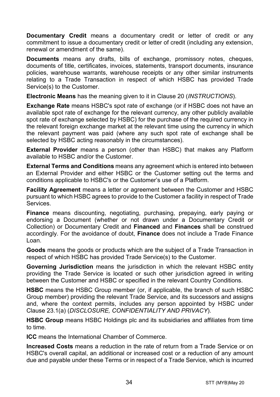**Documentary Credit** means a documentary credit or letter of credit or any commitment to issue a documentary credit or letter of credit (including any extension. renewal or amendment of the same).

**Documents** means any drafts, bills of exchange, promissory notes, cheques, documents of title, certificates, invoices, statements, transport documents, insurance policies, warehouse warrants, warehouse receipts or any other similar instruments relating to a Trade Transaction in respect of which HSBC has provided Trade Service(s) to the Customer.

**Electronic Means** has the meaning given to it in Clause [20](#page-24-0) (*[INSTRUCTIONS](#page-24-0)*).

**Exchange Rate** means HSBC's spot rate of exchange (or if HSBC does not have an available spot rate of exchange for the relevant currency, any other publicly available spot rate of exchange selected by HSBC) for the purchase of the required currency in the relevant foreign exchange market at the relevant time using the currency in which the relevant payment was paid (where any such spot rate of exchange shall be selected by HSBC acting reasonably in the circumstances).

**External Provider** means a person (other than HSBC) that makes any Platform available to HSBC and/or the Customer.

**External Terms and Conditions** means any agreement which is entered into between an External Provider and either HSBC or the Customer setting out the terms and conditions applicable to HSBC's or the Customer's use of a Platform.

**Facility Agreement** means a letter or agreement between the Customer and HSBC pursuant to which HSBC agrees to provide to the Customer a facility in respect of Trade Services.

**Finance** means discounting, negotiating, purchasing, prepaying, early paying or endorsing a Document (whether or not drawn under a Documentary Credit or Collection) or Documentary Credit and **Financed** and **Finances** shall be construed accordingly. For the avoidance of doubt, **Finance** does not include a Trade Finance Loan.

**Goods** means the goods or products which are the subject of a Trade Transaction in respect of which HSBC has provided Trade Service(s) to the Customer.

**Governing Jurisdiction** means the jurisdiction in which the relevant HSBC entity providing the Trade Service is located or such other jurisdiction agreed in writing between the Customer and HSBC or specified in the relevant Country Conditions.

**HSBC** means the HSBC Group member (or, if applicable, the branch of such HSBC Group member) providing the relevant Trade Service, and its successors and assigns and, where the context permits, includes any person appointed by HSBC under Clause [23.1\(a\)](#page-29-0) (*[DISCLOSURE, CONFIDENTIALITY AND PRIVACY](#page-28-0)*).

**HSBC Group** means HSBC Holdings plc and its subsidiaries and affiliates from time to time.

**ICC** means the International Chamber of Commerce.

**Increased Costs** means a reduction in the rate of return from a Trade Service or on HSBC's overall capital, an additional or increased cost or a reduction of any amount due and payable under these Terms or in respect of a Trade Service, which is incurred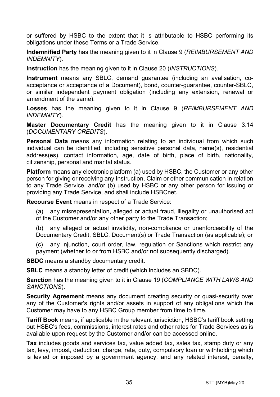or suffered by HSBC to the extent that it is attributable to HSBC performing its obligations under these Terms or a Trade Service.

**Indemnified Party** has the meaning given to it in Claus[e 9](#page-13-0) (*[REIMBURSEMENT AND](#page-13-0)  [INDEMNITY](#page-13-0)*).

**Instruction** has the meaning given to it in Clause [20](#page-24-0) (*[INSTRUCTIONS](#page-24-0)*).

**Instrument** means any SBLC, demand guarantee (including an avalisation, coacceptance or acceptance of a Document), bond, counter-guarantee, counter-SBLC, or similar independent payment obligation (including any extension, renewal or amendment of the same).

**Losses** has the meaning given to it in Clause [9](#page-13-0) (*[REIMBURSEMENT AND](#page-13-0)  [INDEMNITY](#page-13-0)*).

**Master Documentary Credit** has the meaning given to it in Clause [3.14](#page-5-0) (*[DOCUMENTARY CREDITS](#page-3-0)*).

**Personal Data** means any information relating to an individual from which such individual can be identified, including sensitive personal data, name(s), residential address(es), contact information, age, date of birth, place of birth, nationality, citizenship, personal and marital status.

**Platform** means any electronic platform (a) used by HSBC, the Customer or any other person for giving or receiving any Instruction, Claim or other communication in relation to any Trade Service, and/or (b) used by HSBC or any other person for issuing or providing any Trade Service, and shall include HSBCnet.

**Recourse Event** means in respect of a Trade Service:

(a) any misrepresentation, alleged or actual fraud, illegality or unauthorised act of the Customer and/or any other party to the Trade Transaction;

(b) any alleged or actual invalidity, non-compliance or unenforceability of the Documentary Credit, SBLC, Document(s) or Trade Transaction (as applicable); or

(c) any injunction, court order, law, regulation or Sanctions which restrict any payment (whether to or from HSBC and/or not subsequently discharged).

**SBDC** means a standby documentary credit.

**SBLC** means a standby letter of credit (which includes an SBDC).

**Sanction** has the meaning given to it in Clause [19](#page-22-0) (*[COMPLIANCE WITH LAWS AND](#page-22-0)  [SANCTIONS](#page-22-0)*).

**Security Agreement** means any document creating security or quasi-security over any of the Customer's rights and/or assets in support of any obligations which the Customer may have to any HSBC Group member from time to time.

**Tariff Book** means, if applicable in the relevant jurisdiction, HSBC's tariff book setting out HSBC's fees, commissions, interest rates and other rates for Trade Services as is available upon request by the Customer and/or can be accessed online.

**Tax** includes goods and services tax, value added tax, sales tax, stamp duty or any tax, levy, impost, deduction, charge, rate, duty, compulsory loan or withholding which is levied or imposed by a government agency, and any related interest, penalty,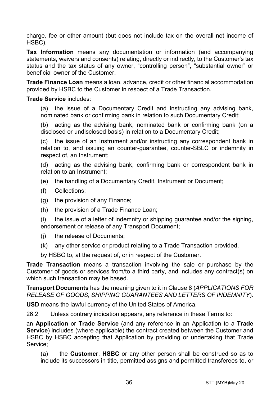charge, fee or other amount (but does not include tax on the overall net income of HSBC).

**Tax Information** means any documentation or information (and accompanying statements, waivers and consents) relating, directly or indirectly, to the Customer's tax status and the tax status of any owner, "controlling person", "substantial owner" or beneficial owner of the Customer.

**Trade Finance Loan** means a loan, advance, credit or other financial accommodation provided by HSBC to the Customer in respect of a Trade Transaction.

#### **Trade Service** includes:

(a) the issue of a Documentary Credit and instructing any advising bank, nominated bank or confirming bank in relation to such Documentary Credit;

(b) acting as the advising bank, nominated bank or confirming bank (on a disclosed or undisclosed basis) in relation to a Documentary Credit;

(c) the issue of an Instrument and/or instructing any correspondent bank in relation to, and issuing an counter-guarantee, counter-SBLC or indemnity in respect of, an Instrument;

(d) acting as the advising bank, confirming bank or correspondent bank in relation to an Instrument;

- (e) the handling of a Documentary Credit, Instrument or Document;
- (f) Collections;
- (g) the provision of any Finance;
- (h) the provision of a Trade Finance Loan;

(i) the issue of a letter of indemnity or shipping guarantee and/or the signing, endorsement or release of any Transport Document;

- (j) the release of Documents;
- (k) any other service or product relating to a Trade Transaction provided,

by HSBC to, at the request of, or in respect of the Customer.

**Trade Transaction** means a transaction involving the sale or purchase by the Customer of goods or services from/to a third party, and includes any contract(s) on which such transaction may be based.

**Transport Documents** has the meaning given to it in Clause [8](#page-12-0) (*[APPLICATIONS FOR](#page-12-0)  [RELEASE OF GOODS, SHIPPING GUARANTEES AND](#page-12-0) LETTERS OF INDEMNITY*).

**USD** means the lawful currency of the United States of America.

26.2 Unless contrary indication appears, any reference in these Terms to:

an **Application** or **Trade Service** (and any reference in an Application to a **Trade Service**) includes (where applicable) the contract created between the Customer and HSBC by HSBC accepting that Application by providing or undertaking that Trade Service;

(a) the **Customer**, **HSBC** or any other person shall be construed so as to include its successors in title, permitted assigns and permitted transferees to, or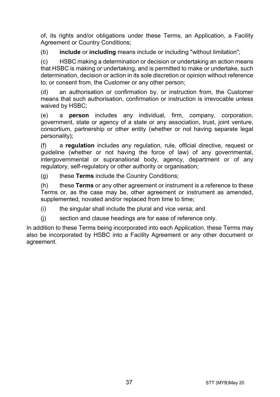of, its rights and/or obligations under these Terms, an Application, a Facility Agreement or Country Conditions:

(b) **include** or **including** means include or including "without limitation";

(c) HSBC making a determination or decision or undertaking an action means that HSBC is making or undertaking, and is permitted to make or undertake, such determination, decision or action in its sole discretion or opinion without reference to, or consent from, the Customer or any other person;

(d) an authorisation or confirmation by, or instruction from, the Customer means that such authorisation, confirmation or instruction is irrevocable unless waived by HSBC;

(e) a **person** includes any individual, firm, company, corporation, government, state or agency of a state or any association, trust, joint venture, consortium, partnership or other entity (whether or not having separate legal personality);

(f) a **regulation** includes any regulation, rule, official directive, request or guideline (whether or not having the force of law) of any governmental, intergovernmental or supranational body, agency, department or of any regulatory, self-regulatory or other authority or organisation;

(g) these **Terms** include the Country Conditions;

(h) these **Terms** or any other agreement or instrument is a reference to these Terms or, as the case may be, other agreement or instrument as amended, supplemented, novated and/or replaced from time to time;

(i) the singular shall include the plural and vice versa; and

(j) section and clause headings are for ease of reference only.

In addition to these Terms being incorporated into each Application, these Terms may also be incorporated by HSBC into a Facility Agreement or any other document or agreement.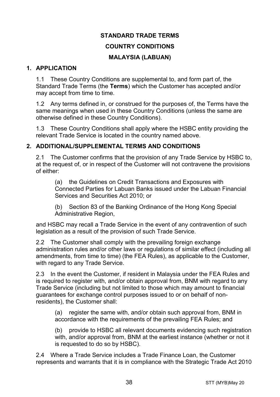#### **STANDARD TRADE TERMS**

#### **COUNTRY CONDITIONS**

#### **MALAYSIA (LABUAN)**

#### **1. APPLICATION**

1.1 These Country Conditions are supplemental to, and form part of, the Standard Trade Terms (the **Terms**) which the Customer has accepted and/or may accept from time to time.

1.2 Any terms defined in, or construed for the purposes of, the Terms have the same meanings when used in these Country Conditions (unless the same are otherwise defined in these Country Conditions).

1.3 These Country Conditions shall apply where the HSBC entity providing the relevant Trade Service is located in the country named above.

#### **2. ADDITIONAL/SUPPLEMENTAL TERMS AND CONDITIONS**

2.1 The Customer confirms that the provision of any Trade Service by HSBC to, at the request of, or in respect of the Customer will not contravene the provisions of either:

(a) the Guidelines on Credit Transactions and Exposures with Connected Parties for Labuan Banks issued under the Labuan Financial Services and Securities Act 2010; or

(b) Section 83 of the Banking Ordinance of the Hong Kong Special Administrative Region.

and HSBC may recall a Trade Service in the event of any contravention of such legislation as a result of the provision of such Trade Service.

2.2 The Customer shall comply with the prevailing foreign exchange administration rules and/or other laws or regulations of similar effect (including all amendments, from time to time) (the FEA Rules), as applicable to the Customer, with regard to any Trade Service.

2.3 In the event the Customer, if resident in Malaysia under the FEA Rules and is required to register with, and/or obtain approval from, BNM with regard to any Trade Service (including but not limited to those which may amount to financial guarantees for exchange control purposes issued to or on behalf of nonresidents), the Customer shall:

(a) register the same with, and/or obtain such approval from, BNM in accordance with the requirements of the prevailing FEA Rules; and

(b) provide to HSBC all relevant documents evidencing such registration with, and/or approval from, BNM at the earliest instance (whether or not it is requested to do so by HSBC).

2.4 Where a Trade Service includes a Trade Finance Loan, the Customer represents and warrants that it is in compliance with the Strategic Trade Act 2010